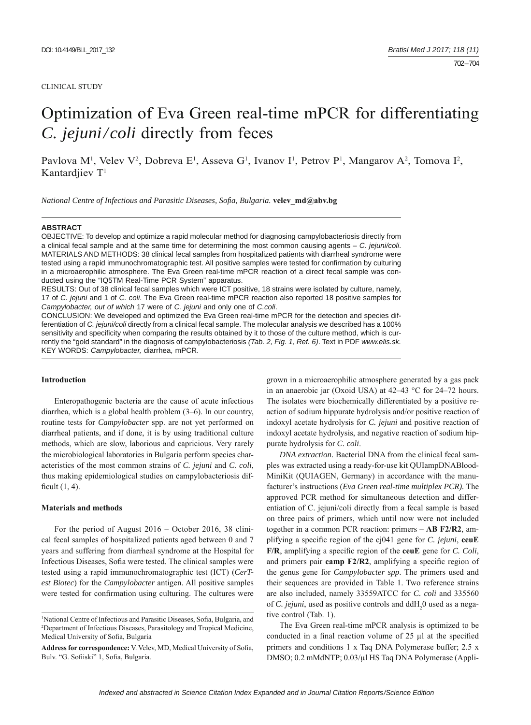#### CLINICAL STUDY

# Optimization of Eva Green real-time mPCR for differentiating *C. jejuni/coli* directly from feces

Pavlova M<sup>1</sup>, Velev V<sup>2</sup>, Dobreva E<sup>1</sup>, Asseva G<sup>1</sup>, Ivanov I<sup>1</sup>, Petrov P<sup>1</sup>, Mangarov A<sup>2</sup>, Tomova I<sup>2</sup>, Kantardiiev  $T<sup>1</sup>$ 

*National Centre of Infectious and Parasitic Diseases, Sofia, Bulgaria.* **velev\_md@abv.bg** 

#### **ABSTRACT**

OBJECTIVE: To develop and optimize a rapid molecular method for diagnosing campylobacteriosis directly from a clinical fecal sample and at the same time for determining the most common causing agents – *C. jejuni/coli*. MATERIALS AND METHODS: 38 clinical fecal samples from hospitalized patients with diarrheal syndrome were tested using a rapid immunochromatographic test. All positive samples were tested for confirmation by culturing in a microaerophilic atmosphere. The Eva Green real-time mPCR reaction of a direct fecal sample was conducted using the "IQ5TM Real-Time PCR System" apparatus.

RESULTS: Out of 38 clinical fecal samples which were ICT positive, 18 strains were isolated by culture, namely, 17 of *C. jejuni* and 1 of *C. coli*. The Eva Green real-time mPCR reaction also reported 18 positive samples for *Campylobacter, out of which* 17 were of *C. jejuni* and only one of *C.coli*.

CONCLUSION: We developed and optimized the Eva Green real-time mPCR for the detection and species differentiation of *C. jejuni/coli* directly from a clinical fecal sample. The molecular analysis we described has a 100% sensitivity and specificity when comparing the results obtained by it to those of the culture method, which is currently the "gold standard" in the diagnosis of campylobacteriosis *(Tab. 2, Fig. 1, Ref. 6)*. Text in PDF *www.elis.sk.* KEY WORDS: *Campylobacter,* diarrhea, mPCR.

#### **Introduction**

Enteropathogenic bacteria are the cause of acute infectious diarrhea, which is a global health problem (3–6). In our country, routine tests for *Campylobacter* spp. are not yet performed on diarrheal patients, and if done, it is by using traditional culture methods, which are slow, laborious and capricious. Very rarely the microbiological laboratories in Bulgaria perform species characteristics of the most common strains of *C. jejuni* and *C. coli*, thus making epidemiological studies on campylobacteriosis difficult  $(1, 4)$ .

## **Materials and methods**

For the period of August 2016 – October 2016, 38 clinical fecal samples of hospitalized patients aged between 0 and 7 years and suffering from diarrheal syndrome at the Hospital for Infectious Diseases, Sofia were tested. The clinical samples were tested using a rapid immunochromatographic test (ICT) (*CerTest Biotec*) for the *Campylobacter* antigen. All positive samples were tested for confirmation using culturing. The cultures were grown in a microaerophilic atmosphere generated by a gas pack in an anaerobic jar (Oxoid USA) at 42–43 °С for 24–72 hours. The isolates were biochemically differentiated by a positive reaction of sodium hippurate hydrolysis and/or positive reaction of indoxyl acetate hydrolysis for *C. jejuni* and positive reaction of indoxyl acetate hydrolysis, and negative reaction of sodium hippurate hydrolysis for *C. coli*.

*DNA extraction.* Bacterial DNA from the clinical fecal samples was extracted using a ready-for-use kit QUIampDNABlood-MiniKit (QUIAGEN, Germany) in accordance with the manufacturer's instructions (*Eva Green real-time multiplex PCR).* The approved PCR method for simultaneous detection and differentiation of C. jejuni/coli directly from a fecal sample is based on three pairs of primers, which until now were not included together in a common PCR reaction: primers – **AB F2/R2**, amplifying a specific region of the cj041 gene for *C. jejuni*, **ceuE** F/R, amplifying a specific region of the **ceuE** gene for *C. Coli*, and primers pair **camp F2/R2**, amplifying a specific region of the genus gene for *Campylobacter spp*. The primers used and their sequences are provided in Table 1. Two reference strains are also included, namely 33559ATCC for *C. coli* and 335560 of *C. jejuni*, used as positive controls and  $ddH_20$  used as a negative control (Tab. 1).

The Eva Green real-time mPCR analysis is optimized to be conducted in a final reaction volume of  $25 \mu l$  at the specified primers and conditions 1 x Taq DNA Polymerase buffer; 2.5 x DMSO; 0.2 mMdNTP; 0.03/μl HS Taq DNA Polymerase (Appli-

<sup>&</sup>lt;sup>1</sup>National Centre of Infectious and Parasitic Diseases, Sofia, Bulgaria, and <sup>2</sup>Department of Infectious Diseases, Parasitology and Tropical Medicine Department of Infectious Diseases, Parasitology and Tropical Medicine, Medical University of Sofia, Bulgaria

Address for correspondence: V. Velev, MD, Medical University of Sofia, Bulv. "G. Sofiiski" 1, Sofia, Bulgaria.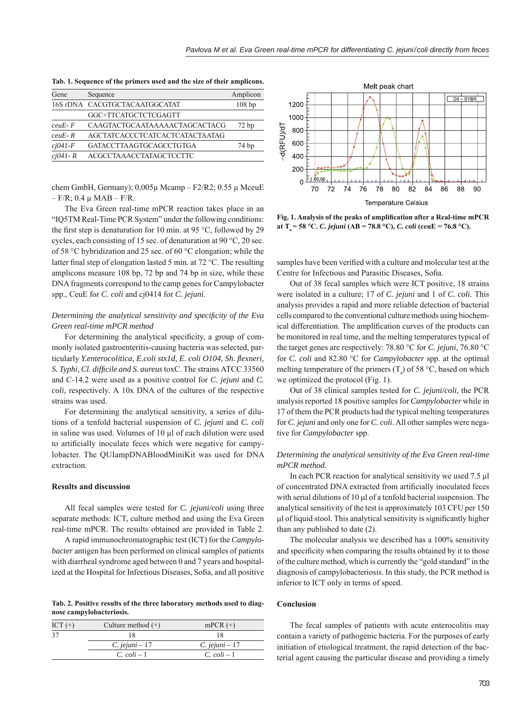| Gene        | Sequence                       | Amplicon |
|-------------|--------------------------------|----------|
|             | 16S rDNA CACGTGCTACAATGGCATAT  | 108bp    |
|             | GGC+TTCATGCTCTCGAGTT           |          |
| $ceuE - F$  | CAAGTACTGCAATAAAAACTAGCACTACG  | 72bp     |
| $ceuE-R$    | AGCTATCACCCTCATCACTCATACTAATAG |          |
| $cj041-F$   | GATACCTTAAGTGCAGCCTGTGA        | 74 bp    |
| $ci041 - R$ | ACGCCTAAACCTATAGCTCCTTC        |          |

**Tab. 1. Sequence of the primers used and the size of their amplicons.**

chem GmbH, Germany);  $0.005\mu$  Mcamp – F2/R2;  $0.55\mu$  MceuE  $-$  F/R; 0.4 μ MAB  $-$  F/R.

The Eva Green real-time mPCR reaction takes place in an "IQ5TM Real-Time PCR System" under the following conditions: the first step is denaturation for 10 min. at 95 °C, followed by 29 cycles, each consisting of 15 sec. of denaturation at 90 °C, 20 sec. of 58 °C hybridization and 25 sec. of 60 °C elongation; while the latter final step of elongation lasted 5 min. at 72 °C. The resulting amplicons measure 108 bp, 72 bp and 74 bp in size, while these DNA fragments correspond to the camp genes for Campylobacter spp., CeuE for *C. coli* and cj0414 for *C. jejuni*.

# *Determining the analytical sensitivity and specificity of the Eva Green real-time mPCR method*

For determining the analytical specificity, a group of commonly isolated gastroenteritis-causing bacteria was selected, particularly *Y.enterocolitica, E.coli stx1d, E. coli O104, Sh. flexneri, S. Typhi, Cl. difficile and S. aureus* toxС. The strains АТСС 33560 and C-14.2 were used as a positive control for *C. jejuni* and *C. coli,* respectively. А 10х DNA of the cultures of the respective strains was used.

For determining the analytical sensitivity, a series of dilutions of a tenfold bacterial suspension of *C. jejuni* and *C. coli* in saline was used. Volumes of 10 μl of each dilution were used to artificially inoculate feces which were negative for campylobacter. The QUIampDNABloodMiniKit was used for DNA extraction.

## **Results and discussion**

All fecal samples were tested for *C. jejuni/coli* using three separate methods: ICT, culture method and using the Eva Green real-time mPCR. The results obtained are provided in Table 2.

А rapid immunochromatographic test (ICT) for the *Campylobacter* antigen has been performed on clinical samples of patients with diarrheal syndrome aged between 0 and 7 years and hospitalized at the Hospital for Infectious Diseases, Sofia, and all positive

**Tab. 2. Positive results of the three laboratory methods used to diagnose campylobacteriosis.**

| ICT $(+)$ | Culture method $(+)$ | $mPCR (+)$         |
|-----------|----------------------|--------------------|
| 37        | 18                   |                    |
|           | C. jejuni $-17$      | C. jejuni $-17$    |
|           | $C.$ coli – 1        | C. $\text{coli}-1$ |



Fig. 1. Analysis of the peaks of amplification after a Real-time mPCR **at**  $T_a = 58 \text{ °C}$ . *C. jejuni* (AB = 78.8 °C), *C. coli* (ceuE = 76.8 °C).

samples have been verified with a culture and molecular test at the Centre for Infectious and Parasitic Diseases, Sofia.

Out of 38 fecal samples which were ICT positive, 18 strains were isolated in a culture; 17 of *C. jejuni* and 1 of *C. coli.* This analysis provides a rapid and more reliable detection of bacterial cells compared to the conventional culture methods using biochemical differentiation. The amplification curves of the products can be monitored in real time, and the melting temperatures typical of the target genes are respectively: 78.80 °C for *C. jejuni*, 76.80 °C for *C. coli* and 82.80 °C for *Campylobacter* spp. at the optimal melting temperature of the primers  $(T_a)$  of 58 °C, based on which we optimized the protocol (Fig. 1).

Out of 38 clinical samples tested for *C. jejuni/coli,* the PCR analysis reported 18 positive samples for *Campylobacter* while in 17 of them the PCR products had the typical melting temperatures for *C. jejuni* and only one for *C. coli*. All other samples were negative for *Campylobacter* spp.

# *Determining the analytical sensitivity of the Eva Green real-time mPCR method.*

In each PCR reaction for analytical sensitivity we used 7.5 μl of concentrated DNA extracted from artificially inoculated feces with serial dilutions of 10 μl of a tenfold bacterial suspension. The analytical sensitivity of the test is approximately 103 CFU per 150 μl of liquid stool. This analytical sensitivity is significantly higher than any published to date (2).

The molecular analysis we described has a 100% sensitivity and specificity when comparing the results obtained by it to those of the culture method, which is currently the "gold standard" in the diagnosis of campylobacteriosis. In this study, the PCR method is inferior to ICT only in terms of speed.

#### **Conclusion**

The fecal samples of patients with acute enterocolitis may contain a variety of pathogenic bacteria. For the purposes of early initiation of etiological treatment, the rapid detection of the bacterial agent causing the particular disease and providing a timely